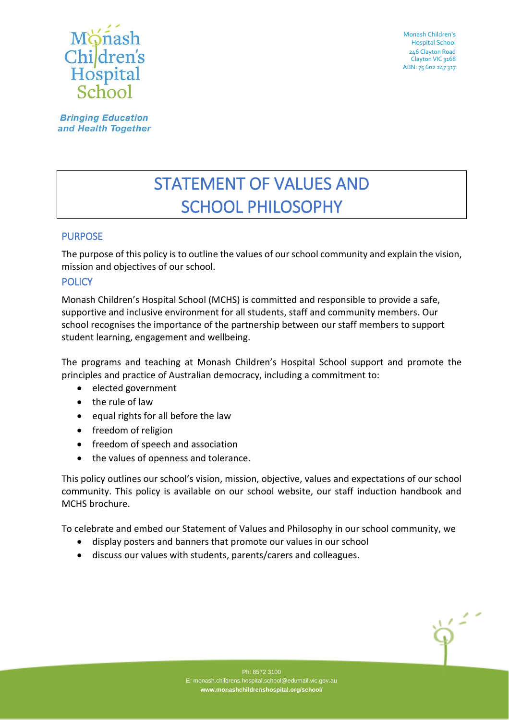



**Bringing Education** and Health Together

# STATEMENT OF VALUES AND SCHOOL PHILOSOPHY

# **PURPOSE**

The purpose of this policy is to outline the values of our school community and explain the vision, mission and objectives of our school.

# **POLICY**

Monash Children's Hospital School (MCHS) is committed and responsible to provide a safe, supportive and inclusive environment for all students, staff and community members. Our school recognises the importance of the partnership between our staff members to support student learning, engagement and wellbeing.

The programs and teaching at Monash Children's Hospital School support and promote the principles and practice of Australian democracy, including a commitment to:

- elected government
- the rule of law
- equal rights for all before the law
- freedom of religion
- freedom of speech and association
- the values of openness and tolerance.

This policy outlines our school's vision, mission, objective, values and expectations of our school community. This policy is available on our school website, our staff induction handbook and MCHS brochure.

To celebrate and embed our Statement of Values and Philosophy in our school community, we

- display posters and banners that promote our values in our school
- discuss our values with students, parents/carers and colleagues.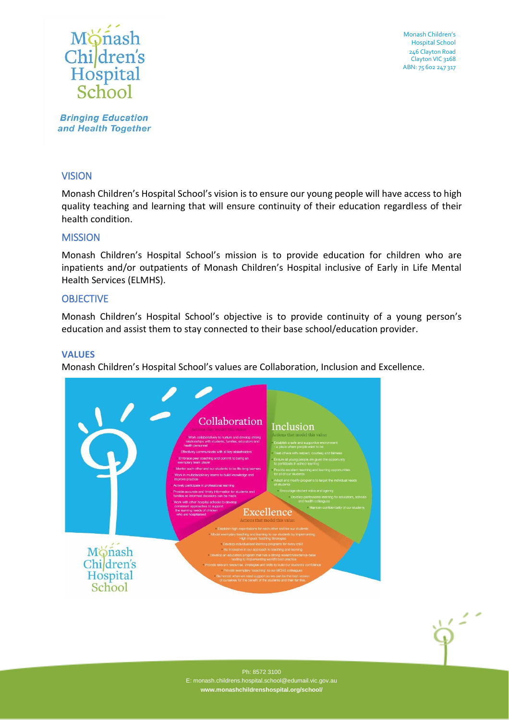

**Bringing Education** and Health Together

## VISION

Monash Children's Hospital School's vision is to ensure our young people will have access to high quality teaching and learning that will ensure continuity of their education regardless of their health condition.

#### **MISSION**

Monash Children's Hospital School's mission is to provide education for children who are inpatients and/or outpatients of Monash Children's Hospital inclusive of Early in Life Mental Health Services (ELMHS).

#### **OBJECTIVE**

Monash Children's Hospital School's objective is to provide continuity of a young person's education and assist them to stay connected to their base school/education provider.

#### **VALUES**

Monash Children's Hospital School's values are Collaboration, Inclusion and Excellence.

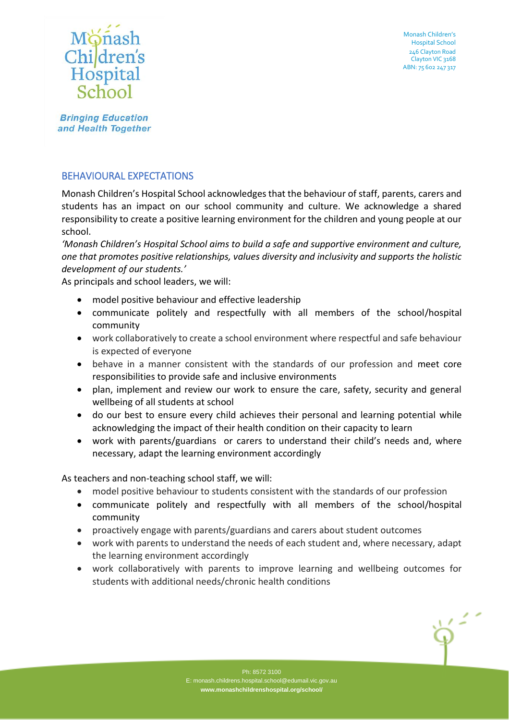

**Bringing Education** and Health Together

# BEHAVIOURAL EXPECTATIONS

Monash Children's Hospital School acknowledges that the behaviour of staff, parents, carers and students has an impact on our school community and culture. We acknowledge a shared responsibility to create a positive learning environment for the children and young people at our school.

*'Monash Children's Hospital School aims to build a safe and supportive environment and culture, one that promotes positive relationships, values diversity and inclusivity and supports the holistic development of our students.'*

As principals and school leaders, we will:

- model positive behaviour and effective leadership
- communicate politely and respectfully with all members of the school/hospital community
- work collaboratively to create a school environment where respectful and safe behaviour is expected of everyone
- behave in a manner consistent with the standards of our profession and meet core responsibilities to provide safe and inclusive environments
- plan, implement and review our work to ensure the care, safety, security and general wellbeing of all students at school
- do our best to ensure every child achieves their personal and learning potential while acknowledging the impact of their health condition on their capacity to learn
- work with parents/guardians or carers to understand their child's needs and, where necessary, adapt the learning environment accordingly

As teachers and non-teaching school staff, we will:

- model positive behaviour to students consistent with the standards of our profession
- communicate politely and respectfully with all members of the school/hospital community
- proactively engage with parents/guardians and carers about student outcomes
- work with parents to understand the needs of each student and, where necessary, adapt the learning environment accordingly
- work collaboratively with parents to improve learning and wellbeing outcomes for students with additional needs/chronic health conditions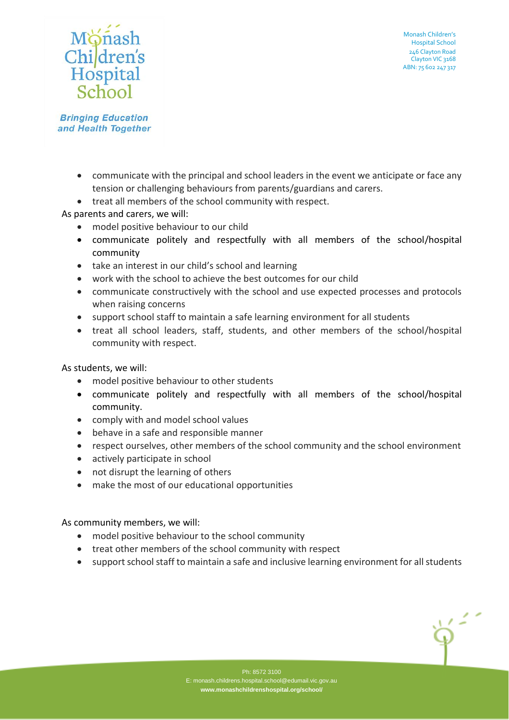

**Bringing Education** and Health Together

- communicate with the principal and school leaders in the event we anticipate or face any tension or challenging behaviours from parents/guardians and carers.
- treat all members of the school community with respect.

As parents and carers, we will:

- model positive behaviour to our child
- communicate politely and respectfully with all members of the school/hospital community
- take an interest in our child's school and learning
- work with the school to achieve the best outcomes for our child
- communicate constructively with the school and use expected processes and protocols when raising concerns
- support school staff to maintain a safe learning environment for all students
- treat all school leaders, staff, students, and other members of the school/hospital community with respect.

As students, we will:

- model positive behaviour to other students
- communicate politely and respectfully with all members of the school/hospital community.
- comply with and model school values
- behave in a safe and responsible manner
- respect ourselves, other members of the school community and the school environment
- actively participate in school
- not disrupt the learning of others
- make the most of our educational opportunities

As community members, we will:

- model positive behaviour to the school community
- treat other members of the school community with respect
- support school staff to maintain a safe and inclusive learning environment for all students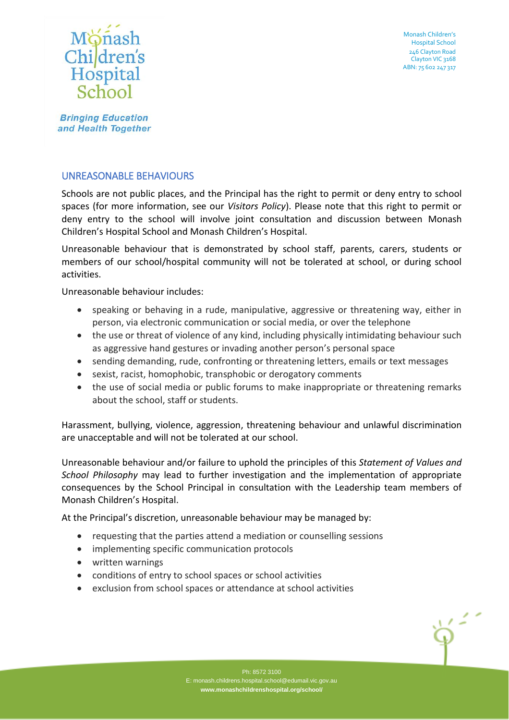

**Bringing Education** and Health Together

# UNREASONABLE BEHAVIOURS

Schools are not public places, and the Principal has the right to permit or deny entry to school spaces (for more information, see our *Visitors Policy*). Please note that this right to permit or deny entry to the school will involve joint consultation and discussion between Monash Children's Hospital School and Monash Children's Hospital.

Unreasonable behaviour that is demonstrated by school staff, parents, carers, students or members of our school/hospital community will not be tolerated at school, or during school activities.

Unreasonable behaviour includes:

- speaking or behaving in a rude, manipulative, aggressive or threatening way, either in person, via electronic communication or social media, or over the telephone
- the use or threat of violence of any kind, including physically intimidating behaviour such as aggressive hand gestures or invading another person's personal space
- sending demanding, rude, confronting or threatening letters, emails or text messages
- sexist, racist, homophobic, transphobic or derogatory comments
- the use of social media or public forums to make inappropriate or threatening remarks about the school, staff or students.

Harassment, bullying, violence, aggression, threatening behaviour and unlawful discrimination are unacceptable and will not be tolerated at our school.

Unreasonable behaviour and/or failure to uphold the principles of this *Statement of Values and School Philosophy* may lead to further investigation and the implementation of appropriate consequences by the School Principal in consultation with the Leadership team members of Monash Children's Hospital.

At the Principal's discretion, unreasonable behaviour may be managed by:

- requesting that the parties attend a mediation or counselling sessions
- implementing specific communication protocols
- written warnings
- conditions of entry to school spaces or school activities
- exclusion from school spaces or attendance at school activities